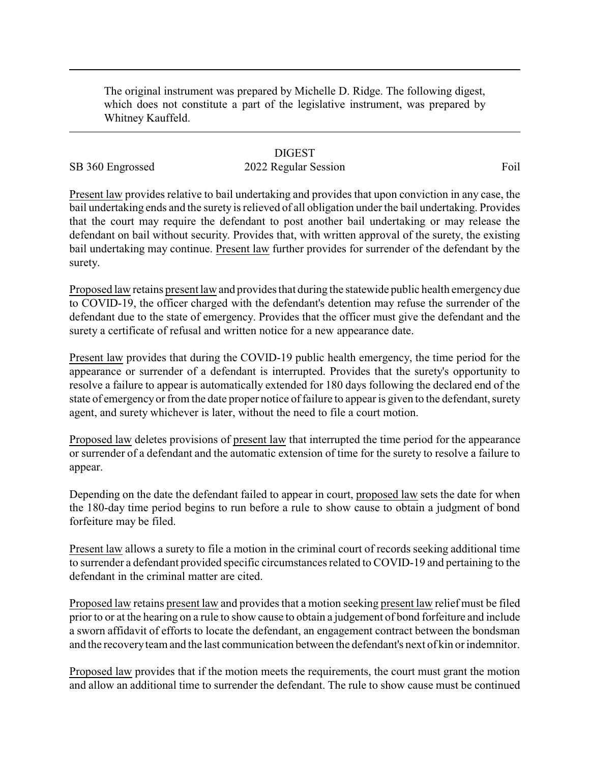The original instrument was prepared by Michelle D. Ridge. The following digest, which does not constitute a part of the legislative instrument, was prepared by Whitney Kauffeld.

## **DIGEST**

## SB 360 Engrossed 2022 Regular Session Foil

Present law provides relative to bail undertaking and provides that upon conviction in any case, the bail undertaking ends and the surety is relieved of all obligation under the bail undertaking. Provides that the court may require the defendant to post another bail undertaking or may release the defendant on bail without security. Provides that, with written approval of the surety, the existing bail undertaking may continue. Present law further provides for surrender of the defendant by the surety.

Proposed law retains present law and provides that during the statewide public health emergencydue to COVID-19, the officer charged with the defendant's detention may refuse the surrender of the defendant due to the state of emergency. Provides that the officer must give the defendant and the surety a certificate of refusal and written notice for a new appearance date.

Present law provides that during the COVID-19 public health emergency, the time period for the appearance or surrender of a defendant is interrupted. Provides that the surety's opportunity to resolve a failure to appear is automatically extended for 180 days following the declared end of the state of emergencyor from the date proper notice of failure to appear is given to the defendant, surety agent, and surety whichever is later, without the need to file a court motion.

Proposed law deletes provisions of present law that interrupted the time period for the appearance or surrender of a defendant and the automatic extension of time for the surety to resolve a failure to appear.

Depending on the date the defendant failed to appear in court, proposed law sets the date for when the 180-day time period begins to run before a rule to show cause to obtain a judgment of bond forfeiture may be filed.

Present law allows a surety to file a motion in the criminal court of records seeking additional time to surrender a defendant provided specific circumstances related to COVID-19 and pertaining to the defendant in the criminal matter are cited.

Proposed law retains present law and provides that a motion seeking present law relief must be filed prior to or at the hearing on a rule to show cause to obtain a judgement of bond forfeiture and include a sworn affidavit of efforts to locate the defendant, an engagement contract between the bondsman and the recoveryteam and the last communication between the defendant's next of kin or indemnitor.

Proposed law provides that if the motion meets the requirements, the court must grant the motion and allow an additional time to surrender the defendant. The rule to show cause must be continued